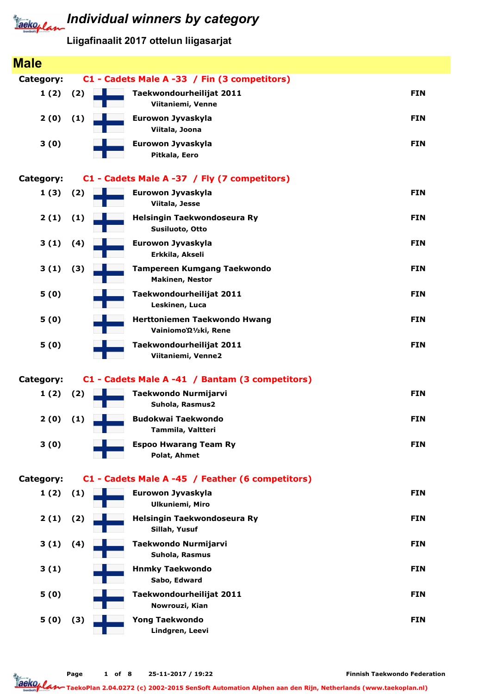# **Individual winners by category**

Liigafinaalit 2017 ottelun liigasarjat

| <b>Male</b>      |     |                                                       |            |
|------------------|-----|-------------------------------------------------------|------------|
| <b>Category:</b> |     | C1 - Cadets Male A -33 / Fin (3 competitors)          |            |
| 1(2)             | (2) | Taekwondourheilijat 2011<br>Viitaniemi, Venne         | <b>FIN</b> |
| 2(0)             | (1) | Eurowon Jyvaskyla<br>Viitala, Joona                   | <b>FIN</b> |
| 3(0)             |     | Eurowon Jyvaskyla<br>Pitkala, Eero                    | <b>FIN</b> |
| <b>Category:</b> |     | C1 - Cadets Male A -37 / Fly (7 competitors)          |            |
| 1(3)             | (2) | Eurowon Jyvaskyla<br>Viitala, Jesse                   | <b>FIN</b> |
| 2(1)             | (1) | Helsingin Taekwondoseura Ry<br>Susiluoto, Otto        | <b>FIN</b> |
| 3(1)             | (4) | Eurowon Jyvaskyla<br>Erkkila, Akseli                  | <b>FIN</b> |
| 3(1)             | (3) | Tampereen Kumgang Taekwondo<br><b>Makinen, Nestor</b> | <b>FIN</b> |
| 5(0)             |     | Taekwondourheilijat 2011<br>Leskinen, Luca            | <b>FIN</b> |
| 5(0)             |     | Herttoniemen Taekwondo Hwang<br>Vainiomo'Ω1/2ki, Rene | <b>FIN</b> |
| 5(0)             |     | Taekwondourheilijat 2011<br>Viitaniemi, Venne2        | <b>FIN</b> |
| <b>Category:</b> |     | C1 - Cadets Male A -41 / Bantam (3 competitors)       |            |
| 1(2)             | (2) | Taekwondo Nurmijarvi<br>Suhola, Rasmus2               | <b>FIN</b> |
| 2(0)             | (1) | <b>Budokwai Taekwondo</b><br>Tammila, Valtteri        | <b>FIN</b> |
| 3(0)             |     | <b>Espoo Hwarang Team Ry</b><br>Polat, Ahmet          | <b>FIN</b> |
| <b>Category:</b> |     | C1 - Cadets Male A -45 / Feather (6 competitors)      |            |
| 1(2)             | (1) | Eurowon Jyvaskyla<br><b>Ulkuniemi, Miro</b>           | <b>FIN</b> |
| 2(1)             | (2) | Helsingin Taekwondoseura Ry<br>Sillah, Yusuf          | <b>FIN</b> |
| 3(1)             | (4) | Taekwondo Nurmijarvi<br>Suhola, Rasmus                | <b>FIN</b> |
| 3(1)             |     | <b>Hnmky Taekwondo</b><br>Sabo, Edward                | <b>FIN</b> |
| 5(0)             |     | Taekwondourheilijat 2011<br>Nowrouzi, Kian            | <b>FIN</b> |
| 5(0)             | (3) | <b>Yong Taekwondo</b><br>Lindgren, Leevi              | <b>FIN</b> |

Finnish Taekwondo Federation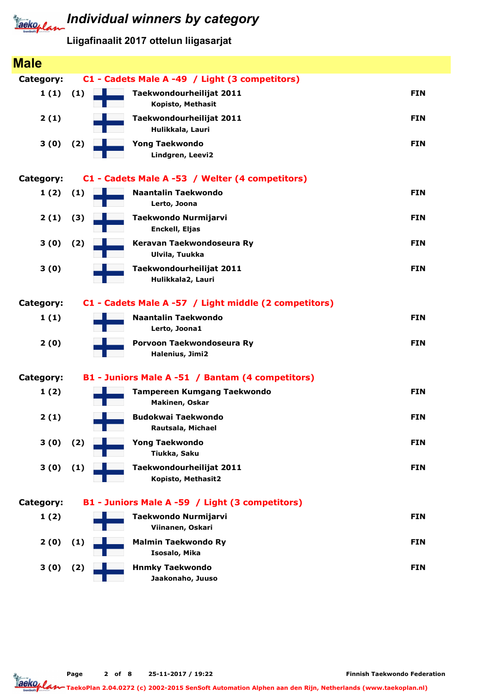# **Individual winners by category**

Liigafinaalit 2017 ottelun liigasarjat

| <b>Male</b>      |     |                                                       |            |
|------------------|-----|-------------------------------------------------------|------------|
| Category:        |     | C1 - Cadets Male A -49 / Light (3 competitors)        |            |
| 1(1)             | (1) | Taekwondourheilijat 2011<br>Kopisto, Methasit         | <b>FIN</b> |
| 2(1)             |     | Taekwondourheilijat 2011<br>Hulikkala, Lauri          | <b>FIN</b> |
| 3(0)             | (2) | <b>Yong Taekwondo</b><br>Lindgren, Leevi2             | <b>FIN</b> |
| Category:        |     | C1 - Cadets Male A -53 / Welter (4 competitors)       |            |
| 1(2)             | (1) | <b>Naantalin Taekwondo</b><br>Lerto, Joona            | <b>FIN</b> |
| 2(1)             | (3) | Taekwondo Nurmijarvi<br>Enckell, Eljas                | <b>FIN</b> |
| 3(0)             | (2) | Keravan Taekwondoseura Ry<br>Ulvila, Tuukka           | <b>FIN</b> |
| 3(0)             |     | Taekwondourheilijat 2011<br>Hulikkala2, Lauri         | <b>FIN</b> |
| <b>Category:</b> |     | C1 - Cadets Male A -57 / Light middle (2 competitors) |            |
| 1(1)             |     | <b>Naantalin Taekwondo</b><br>Lerto, Joona1           | <b>FIN</b> |
| 2(0)             |     | Porvoon Taekwondoseura Ry<br>Halenius, Jimi2          | <b>FIN</b> |
| Category:        |     | B1 - Juniors Male A -51 / Bantam (4 competitors)      |            |
| 1(2)             |     | Tampereen Kumgang Taekwondo<br>Makinen, Oskar         | <b>FIN</b> |
| 2(1)             |     | <b>Budokwai Taekwondo</b><br>Rautsala, Michael        | <b>FIN</b> |
| 3(0)             | (2) | <b>Yong Taekwondo</b><br>Tiukka, Saku                 | <b>FIN</b> |
| 3(0)             | (1) | Taekwondourheilijat 2011<br>Kopisto, Methasit2        | <b>FIN</b> |
| Category:        |     | B1 - Juniors Male A -59 / Light (3 competitors)       |            |
| 1(2)             |     | Taekwondo Nurmijarvi<br>Viinanen, Oskari              | <b>FIN</b> |
| 2(0)             | (1) | <b>Malmin Taekwondo Ry</b><br>Isosalo, Mika           | <b>FIN</b> |
| 3(0)             | (2) | <b>Hnmky Taekwondo</b><br>Jaakonaho, Juuso            | <b>FIN</b> |

Page 2 of 8 25-11-2017 / 19:22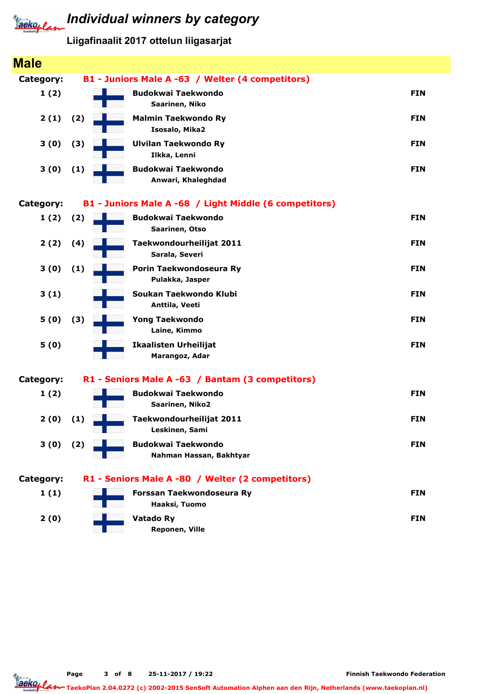Liigafinaalit 2017 ottelun liigasarjat

| <b>Male</b> |     |                                                        |            |
|-------------|-----|--------------------------------------------------------|------------|
| Category:   |     | B1 - Juniors Male A -63 / Welter (4 competitors)       |            |
| 1(2)        |     | <b>Budokwai Taekwondo</b><br>Saarinen, Niko            | <b>FIN</b> |
| 2(1)        | (2) | <b>Malmin Taekwondo Ry</b><br>Isosalo, Mika2           | <b>FIN</b> |
| 3(0)        | (3) | <b>Ulvilan Taekwondo Ry</b><br>Ilkka, Lenni            | <b>FIN</b> |
| 3(0)        | (1) | <b>Budokwai Taekwondo</b><br>Anwari, Khaleghdad        | <b>FIN</b> |
| Category:   |     | B1 - Juniors Male A -68 / Light Middle (6 competitors) |            |
| 1(2)        | (2) | <b>Budokwai Taekwondo</b><br>Saarinen, Otso            | <b>FIN</b> |
| 2(2)        | (4) | Taekwondourheilijat 2011<br>Sarala, Severi             | <b>FIN</b> |
| 3(0)        | (1) | Porin Taekwondoseura Ry<br>Pulakka, Jasper             | <b>FIN</b> |
| 3(1)        |     | Soukan Taekwondo Klubi<br>Anttila, Veeti               | <b>FIN</b> |
| 5(0)        | (3) | <b>Yong Taekwondo</b><br>Laine, Kimmo                  | <b>FIN</b> |
| 5(0)        |     | <b>Ikaalisten Urheilijat</b><br>Marangoz, Adar         | <b>FIN</b> |
| Category:   |     | R1 - Seniors Male A -63 / Bantam (3 competitors)       |            |
| 1(2)        |     | <b>Budokwai Taekwondo</b><br>Saarinen, Niko2           | <b>FIN</b> |
| 2(0)        | (1) | Taekwondourheilijat 2011<br>Leskinen, Sami             | <b>FIN</b> |
| 3 (0)       | (2) | <b>Budokwai Taekwondo</b><br>Nahman Hassan, Bakhtyar   | <b>FIN</b> |
| Category:   |     | R1 - Seniors Male A -80 / Welter (2 competitors)       |            |
| 1(1)        |     | Forssan Taekwondoseura Ry<br>Haaksi, Tuomo             | <b>FIN</b> |
| 2(0)        |     | Vatado Ry<br>Reponen, Ville                            | <b>FIN</b> |

Page 3 of 8 25-11-2017 / 19:22

TaekoPlan 2.04.0272 (c) 2002-2015 SenSoft Automation Alphen aan den Rijn, Netherlands (www.taekoplan.nl)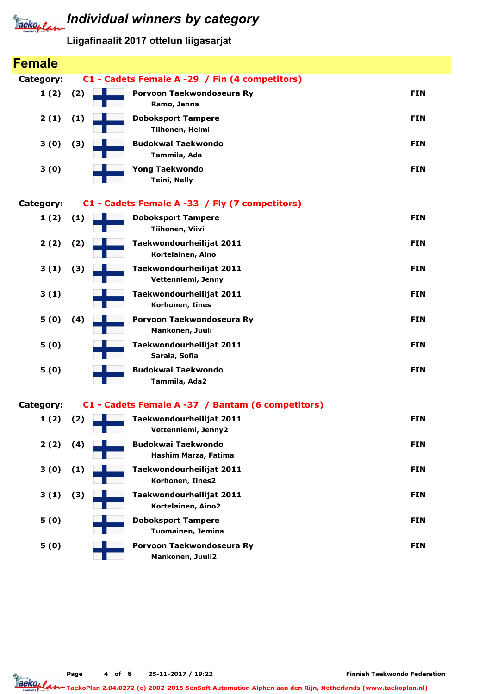

#### Liigafinaalit 2017 ottelun liigasarjat

| <b>Female</b>    |     |                                                   |            |
|------------------|-----|---------------------------------------------------|------------|
| <b>Category:</b> |     | C1 - Cadets Female A -29 / Fin (4 competitors)    |            |
| 1(2)             | (2) | Porvoon Taekwondoseura Ry<br>Ramo, Jenna          | <b>FIN</b> |
| 2(1)             | (1) | <b>Doboksport Tampere</b><br>Tiihonen, Helmi      | <b>FIN</b> |
| 3(0)             | (3) | <b>Budokwai Taekwondo</b><br>Tammila, Ada         | <b>FIN</b> |
| 3(0)             |     | <b>Yong Taekwondo</b><br><b>Teini, Nelly</b>      | <b>FIN</b> |
| Category:        |     | C1 - Cadets Female A -33 / Fly (7 competitors)    |            |
| 1(2)             | (1) | <b>Doboksport Tampere</b><br>Tiihonen, Viivi      | <b>FIN</b> |
| 2(2)             | (2) | Taekwondourheilijat 2011<br>Kortelainen, Aino     | <b>FIN</b> |
| 3(1)             | (3) | Taekwondourheilijat 2011<br>Vettenniemi, Jenny    | <b>FIN</b> |
| 3(1)             |     | Taekwondourheilijat 2011<br>Korhonen, Iines       | <b>FIN</b> |
| 5(0)             | (4) | Porvoon Taekwondoseura Ry<br>Mankonen, Juuli      | <b>FIN</b> |
| 5(0)             |     | Taekwondourheilijat 2011<br>Sarala, Sofia         | <b>FIN</b> |
| 5(0)             |     | <b>Budokwai Taekwondo</b><br>Tammila, Ada2        | <b>FIN</b> |
| <b>Category:</b> |     | C1 - Cadets Female A -37 / Bantam (6 competitors) |            |
| 1(2)             | (2) | Taekwondourheilijat 2011<br>Vettenniemi, Jenny2   | <b>FIN</b> |
| 2(2)             | (4) | <b>Budokwai Taekwondo</b><br>Hashim Marza, Fatima | <b>FIN</b> |
| 3(0)             | (1) | Taekwondourheilijat 2011<br>Korhonen, Iines2      | <b>FIN</b> |
| 3(1)             | (3) | Taekwondourheilijat 2011<br>Kortelainen, Aino2    | <b>FIN</b> |
| 5(0)             |     | <b>Doboksport Tampere</b><br>Tuomainen, Jemina    | <b>FIN</b> |
| 5(0)             |     | Porvoon Taekwondoseura Ry<br>Mankonen, Juuli2     | <b>FIN</b> |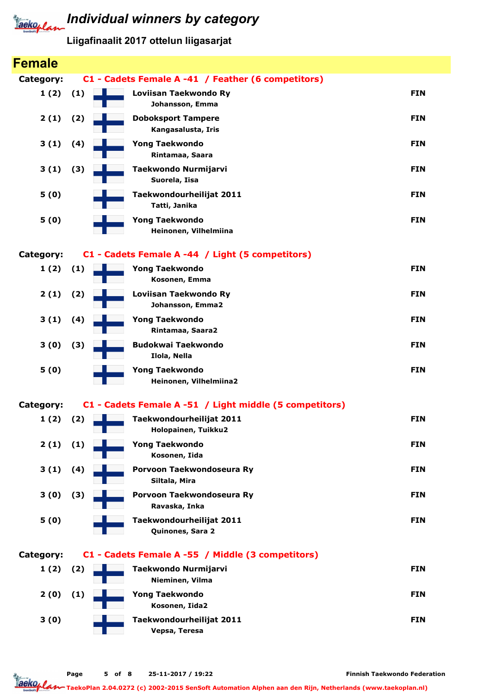

# **Individual winners by category**

Liigafinaalit 2017 ottelun liigasarjat

| <b>Female</b>    |     |                                                         |            |
|------------------|-----|---------------------------------------------------------|------------|
| <b>Category:</b> |     | C1 - Cadets Female A -41 / Feather (6 competitors)      |            |
| 1(2)             | (1) | Loviisan Taekwondo Ry<br>Johansson, Emma                | <b>FIN</b> |
| 2(1)             | (2) | <b>Doboksport Tampere</b><br>Kangasalusta, Iris         | <b>FIN</b> |
| 3(1)             | (4) | <b>Yong Taekwondo</b><br>Rintamaa, Saara                | <b>FIN</b> |
| 3(1)             | (3) | Taekwondo Nurmijarvi<br>Suorela, Iisa                   | <b>FIN</b> |
| 5(0)             |     | Taekwondourheilijat 2011<br>Tatti, Janika               | <b>FIN</b> |
| 5(0)             |     | <b>Yong Taekwondo</b><br>Heinonen, Vilhelmiina          | <b>FIN</b> |
| <b>Category:</b> |     | C1 - Cadets Female A -44 / Light (5 competitors)        |            |
| 1(2)             | (1) | <b>Yong Taekwondo</b><br>Kosonen, Emma                  | <b>FIN</b> |
| 2(1)             | (2) | Loviisan Taekwondo Ry<br>Johansson, Emma2               | <b>FIN</b> |
| 3(1)             | (4) | <b>Yong Taekwondo</b><br>Rintamaa, Saara2               | <b>FIN</b> |
| 3(0)             | (3) | <b>Budokwai Taekwondo</b><br>Ilola, Nella               | <b>FIN</b> |
| 5(0)             |     | <b>Yong Taekwondo</b><br>Heinonen, Vilhelmiina2         | <b>FIN</b> |
| <b>Category:</b> |     | C1 - Cadets Female A -51 / Light middle (5 competitors) |            |
| 1(2)             | (2) | Taekwondourheilijat 2011<br>Holopainen, Tuikku2         | <b>FIN</b> |
| 2(1)             | (1) | <b>Yong Taekwondo</b><br>Kosonen, Iida                  | <b>FIN</b> |
| 3(1)             | (4) | Porvoon Taekwondoseura Ry<br>Siltala, Mira              | <b>FIN</b> |
| 3(0)             | (3) | Porvoon Taekwondoseura Ry<br>Ravaska, Inka              | <b>FIN</b> |
| 5(0)             |     | Taekwondourheilijat 2011<br>Quinones, Sara 2            | <b>FIN</b> |
| Category:        |     | C1 - Cadets Female A -55 / Middle (3 competitors)       |            |
| 1(2)             | (2) | Taekwondo Nurmijarvi                                    | <b>FIN</b> |
|                  |     | Nieminen, Vilma<br><b>Yong Taekwondo</b>                | <b>FIN</b> |
| 2(0)             | (1) | Kosonen, Iida2                                          |            |
| 3(0)             |     | Taekwondourheilijat 2011<br>Vepsa, Teresa               | <b>FIN</b> |
|                  |     |                                                         |            |

Finnish Taekwondo Federation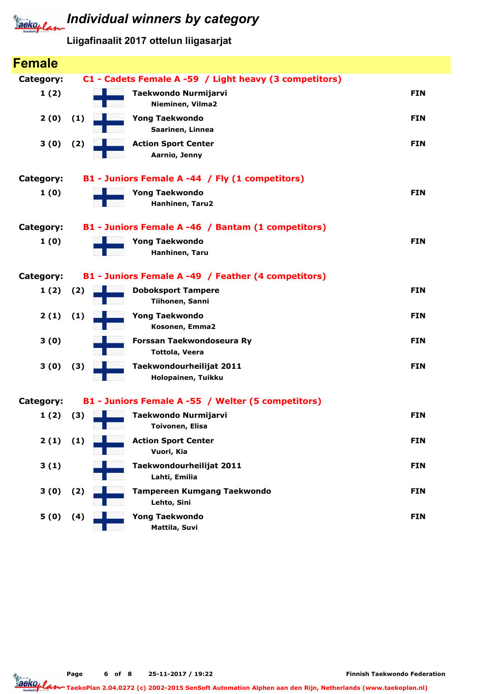

Liigafinaalit 2017 ottelun liigasarjat

| <b>Female</b>    |                                                          |            |
|------------------|----------------------------------------------------------|------------|
| <b>Category:</b> | C1 - Cadets Female A -59 / Light heavy (3 competitors)   |            |
| 1(2)             | Taekwondo Nurmijarvi<br>Nieminen, Vilma2                 | <b>FIN</b> |
| 2(0)             | (1)<br><b>Yong Taekwondo</b><br>Saarinen, Linnea         | <b>FIN</b> |
| 3(0)             | (2)<br><b>Action Sport Center</b><br>Aarnio, Jenny       | <b>FIN</b> |
| <b>Category:</b> | B1 - Juniors Female A -44 / Fly (1 competitors)          |            |
| 1(0)             | <b>Yong Taekwondo</b><br>Hanhinen, Taru2                 | <b>FIN</b> |
| <b>Category:</b> | B1 - Juniors Female A -46 / Bantam (1 competitors)       |            |
| 1(0)             | <b>Yong Taekwondo</b><br>Hanhinen, Taru                  | <b>FIN</b> |
| <b>Category:</b> | B1 - Juniors Female A -49 / Feather (4 competitors)      |            |
| 1(2)             | (2)<br><b>Doboksport Tampere</b><br>Tiihonen, Sanni      | <b>FIN</b> |
| 2(1)             | <b>Yong Taekwondo</b><br>(1)<br>Kosonen, Emma2           | <b>FIN</b> |
| 3(0)             | Forssan Taekwondoseura Ry<br><b>Tottola, Veera</b>       | <b>FIN</b> |
| 3(0)             | Taekwondourheilijat 2011<br>(3)<br>Holopainen, Tuikku    | <b>FIN</b> |
| Category:        | B1 - Juniors Female A -55 / Welter (5 competitors)       |            |
| 1(2)             | (3)<br>Taekwondo Nurmijarvi<br>Toivonen, Elisa           | <b>FIN</b> |
| $2(1)$ $(1)$     | <b>Action Sport Center</b><br>Vuori, Kia                 | <b>FIN</b> |
| 3(1)             | Taekwondourheilijat 2011<br>Lahti, Emilia                | <b>FIN</b> |
| 3(0)             | <b>Tampereen Kumgang Taekwondo</b><br>(2)<br>Lehto, Sini | <b>FIN</b> |
| 5(0)             | <b>Yong Taekwondo</b><br>(4)<br>Mattila, Suvi            | <b>FIN</b> |

Page 6 of 8 25-11-2017 / 19:22

TaekoPlan 2.04.0272 (c) 2002-2015 SenSoft Automation Alphen aan den Rijn, Netherlands (www.taekoplan.nl)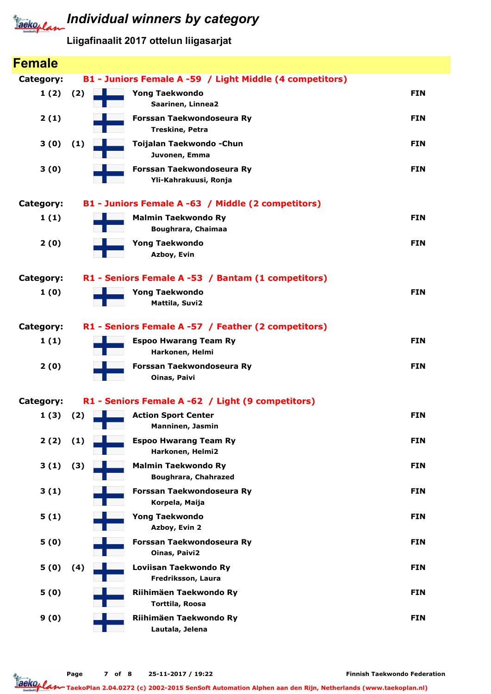

#### Liigafinaalit 2017 ottelun liigasarjat

| <b>Female</b>    |     |                                                           |            |
|------------------|-----|-----------------------------------------------------------|------------|
| <b>Category:</b> |     | B1 - Juniors Female A -59 / Light Middle (4 competitors)  |            |
| 1(2)             | (2) | <b>Yong Taekwondo</b><br>Saarinen, Linnea2                | <b>FIN</b> |
| 2(1)             |     | Forssan Taekwondoseura Ry<br><b>Treskine, Petra</b>       | <b>FIN</b> |
| 3(0)             | (1) | Toijalan Taekwondo - Chun<br>Juvonen, Emma                | <b>FIN</b> |
| 3(0)             |     | Forssan Taekwondoseura Ry<br>Yli-Kahrakuusi, Ronja        | <b>FIN</b> |
| <b>Category:</b> |     | B1 - Juniors Female A -63 / Middle (2 competitors)        |            |
| 1(1)             |     | <b>Malmin Taekwondo Ry</b><br><b>Boughrara, Chaimaa</b>   | <b>FIN</b> |
| 2(0)             |     | <b>Yong Taekwondo</b><br>Azboy, Evin                      | <b>FIN</b> |
| <b>Category:</b> |     | R1 - Seniors Female A -53 / Bantam (1 competitors)        |            |
| 1(0)             |     | <b>Yong Taekwondo</b><br>Mattila, Suvi2                   | <b>FIN</b> |
| <b>Category:</b> |     | R1 - Seniors Female A -57 / Feather (2 competitors)       |            |
| 1(1)             |     | <b>Espoo Hwarang Team Ry</b><br>Harkonen, Helmi           | <b>FIN</b> |
| 2(0)             |     | Forssan Taekwondoseura Ry<br><b>Oinas, Paivi</b>          | <b>FIN</b> |
| <b>Category:</b> |     | R1 - Seniors Female A -62 / Light (9 competitors)         |            |
| 1(3)             | (2) | <b>Action Sport Center</b><br>Manninen, Jasmin            | <b>FIN</b> |
| 2(2)             | (1) | <b>Espoo Hwarang Team Ry</b><br>Harkonen, Helmi2          | <b>FIN</b> |
| 3(1)             | (3) | <b>Malmin Taekwondo Ry</b><br><b>Boughrara, Chahrazed</b> | <b>FIN</b> |
| 3(1)             |     | Forssan Taekwondoseura Ry<br>Korpela, Maija               | <b>FIN</b> |
| 5(1)             |     | <b>Yong Taekwondo</b><br>Azboy, Evin 2                    | <b>FIN</b> |
| 5(0)             |     | Forssan Taekwondoseura Ry<br>Oinas, Paivi2                | <b>FIN</b> |
| 5(0)             | (4) | Loviisan Taekwondo Ry<br>Fredriksson, Laura               | <b>FIN</b> |
| 5(0)             |     | Riihimäen Taekwondo Ry<br>Torttila, Roosa                 | <b>FIN</b> |
| 9(0)             |     | Riihimäen Taekwondo Ry<br>Lautala, Jelena                 | <b>FIN</b> |

Finnish Taekwondo Federation